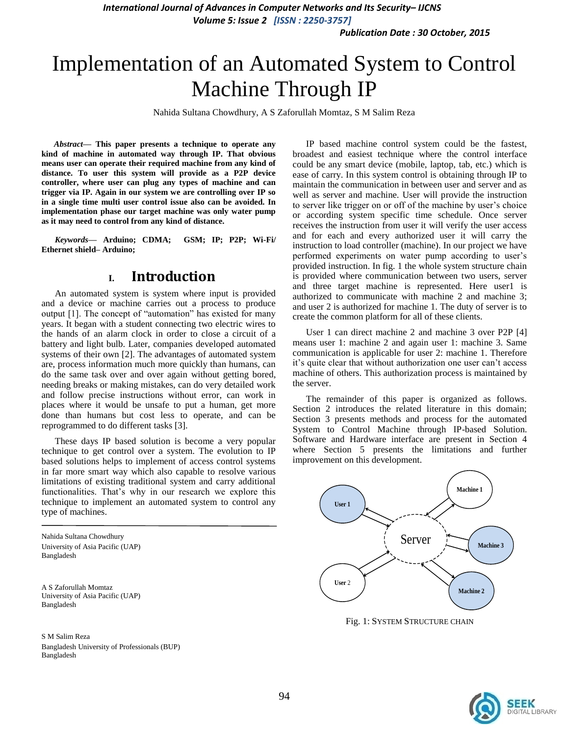*International Journal of Advances in Computer Networks and Its Security– IJCNS*

*Volume 5: Issue 2 [ISSN : 2250-3757]* 

*Publication Date : 30 October, 2015*

# Implementation of an Automated System to Control Machine Through IP

Nahida Sultana Chowdhury, A S Zaforullah Momtaz, S M Salim Reza

*Abstract***— This paper presents a technique to operate any kind of machine in automated way through IP. That obvious means user can operate their required machine from any kind of distance. To user this system will provide as a P2P device controller, where user can plug any types of machine and can trigger via IP. Again in our system we are controlling over IP so in a single time multi user control issue also can be avoided. In implementation phase our target machine was only water pump as it may need to control from any kind of distance.**

*Keywords—* **Arduino; CDMA; GSM; IP; P2P; Wi-Fi/ Ethernet shield– Arduino;**

### **I. Introduction**

An automated system is system where input is provided and a device or machine carries out a process to produce output [1]. The concept of "automation" has existed for many years. It began with a student connecting two electric wires to the hands of an alarm clock in order to close a circuit of a battery and light bulb. Later, companies developed automated systems of their own [2]. The advantages of automated system are, process information much more quickly than humans, can do the same task over and over again without getting bored, needing breaks or making mistakes, can do very detailed work and follow precise instructions without error, can work in places where it would be unsafe to put a human, get more done than humans but cost less to operate, and can be reprogrammed to do different tasks [3].

These days IP based solution is become a very popular technique to get control over a system. The evolution to IP based solutions helps to implement of access control systems in far more smart way which also capable to resolve various limitations of existing traditional system and carry additional functionalities. That's why in our research we explore this technique to implement an automated system to control any type of machines.

Nahida Sultana Chowdhury University of Asia Pacific (UAP) Bangladesh

A S Zaforullah Momtaz University of Asia Pacific (UAP) Bangladesh

S M Salim Reza Bangladesh University of Professionals (BUP) Bangladesh

IP based machine control system could be the fastest, broadest and easiest technique where the control interface could be any smart device (mobile, laptop, tab, etc.) which is ease of carry. In this system control is obtaining through IP to maintain the communication in between user and server and as well as server and machine. User will provide the instruction to server like trigger on or off of the machine by user's choice or according system specific time schedule. Once server receives the instruction from user it will verify the user access and for each and every authorized user it will carry the instruction to load controller (machine). In our project we have performed experiments on water pump according to user's provided instruction. In fig. 1 the whole system structure chain is provided where communication between two users, server and three target machine is represented. Here user1 is authorized to communicate with machine 2 and machine 3; and user 2 is authorized for machine 1. The duty of server is to create the common platform for all of these clients.

User 1 can direct machine 2 and machine 3 over P2P [4] means user 1: machine 2 and again user 1: machine 3. Same communication is applicable for user 2: machine 1. Therefore it's quite clear that without authorization one user can't access machine of others. This authorization process is maintained by the server.

The remainder of this paper is organized as follows. Section 2 introduces the related literature in this domain; Section 3 presents methods and process for the automated System to Control Machine through IP-based Solution. Software and Hardware interface are present in Section 4 where Section 5 presents the limitations and further improvement on this development.



Fig. 1: SYSTEM STRUCTURE CHAIN

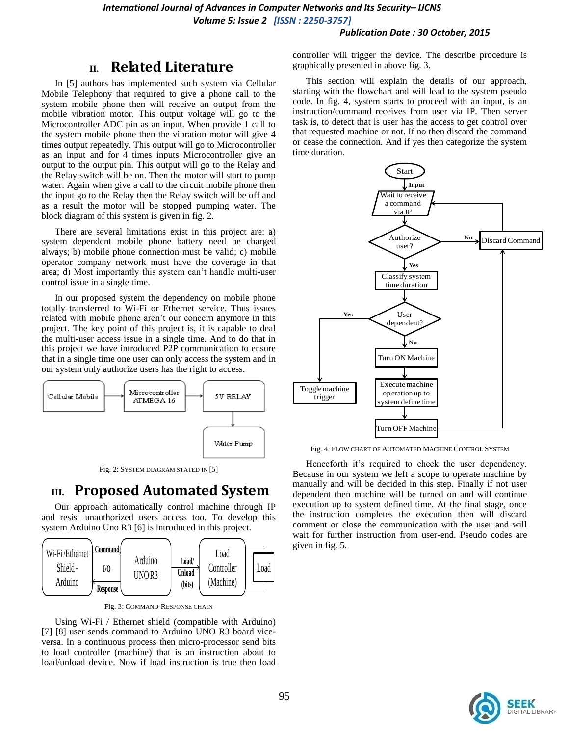#### *Publication Date : 30 October, 2015*

## **II. Related Literature**

In [5] authors has implemented such system via Cellular Mobile Telephony that required to give a phone call to the system mobile phone then will receive an output from the mobile vibration motor. This output voltage will go to the Microcontroller ADC pin as an input. When provide 1 call to the system mobile phone then the vibration motor will give 4 times output repeatedly. This output will go to Microcontroller as an input and for 4 times inputs Microcontroller give an output to the output pin. This output will go to the Relay and the Relay switch will be on. Then the motor will start to pump water. Again when give a call to the circuit mobile phone then the input go to the Relay then the Relay switch will be off and as a result the motor will be stopped pumping water. The block diagram of this system is given in fig. 2.

There are several limitations exist in this project are: a) system dependent mobile phone battery need be charged always; b) mobile phone connection must be valid; c) mobile operator company network must have the coverage in that area; d) Most importantly this system can't handle multi-user control issue in a single time.

In our proposed system the dependency on mobile phone totally transferred to Wi-Fi or Ethernet service. Thus issues related with mobile phone aren't our concern anymore in this project. The key point of this project is, it is capable to deal the multi-user access issue in a single time. And to do that in this project we have introduced P2P communication to ensure that in a single time one user can only access the system and in our system only authorize users has the right to access.



Fig. 2: SYSTEM DIAGRAM STATED IN [5]

## **III. Proposed Automated System**

Our approach automatically control machine through IP and resist unauthorized users access too. To develop this system Arduino Uno R3 [6] is introduced in this project.



Fig. 3: COMMAND-RESPONSE CHAIN

Using Wi-Fi / Ethernet shield (compatible with Arduino) [7] [8] user sends command to Arduino UNO R3 board viceversa. In a continuous process then micro-processor send bits to load controller (machine) that is an instruction about to load/unload device. Now if load instruction is true then load controller will trigger the device. The describe procedure is graphically presented in above fig. 3.

This section will explain the details of our approach, starting with the flowchart and will lead to the system pseudo code. In fig. 4, system starts to proceed with an input, is an instruction/command receives from user via IP. Then server task is, to detect that is user has the access to get control over that requested machine or not. If no then discard the command or cease the connection. And if yes then categorize the system time duration.



Fig. 4: FLOW CHART OF AUTOMATED MACHINE CONTROL SYSTEM

Henceforth it's required to check the user dependency. Because in our system we left a scope to operate machine by manually and will be decided in this step. Finally if not user dependent then machine will be turned on and will continue execution up to system defined time. At the final stage, once the instruction completes the execution then will discard comment or close the communication with the user and will wait for further instruction from user-end. Pseudo codes are given in fig. 5.

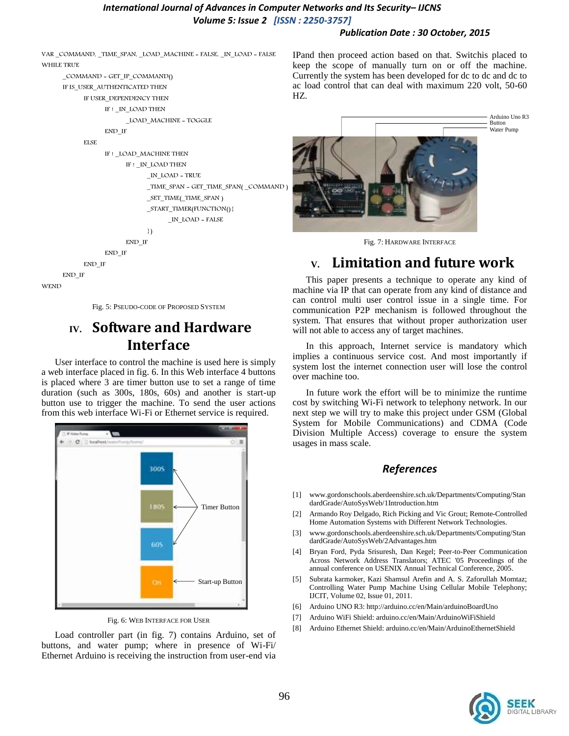#### *International Journal of Advances in Computer Networks and Its Security– IJCNS Volume 5: Issue 2 [ISSN : 2250-3757]*

#### *Publication Date : 30 October, 2015*

VAR \_COMMAND, \_TIME\_SPAN, \_LOAD\_MACHINE = FALSE, \_IN\_LOAD = FALSE WHILE TRUE

\_COMMAND = GET\_IP\_COMMAND() IF IS\_USER\_AUTHENTICATED THEN IF USER\_DEPENDENCY THEN IF ! \_IN\_LOAD THEN \_LOAD\_MACHINE = TOGGLE

END\_IF

```
ELSE
           IF ! _LOAD_MACHINE THEN
                 IF ! _IN_LOAD THEN
                        _IN_LOAD = TRUE
                        TIME_SPAN = GET_TIME_SPAN( _COMMAND )
                        _SET_TIME(_TIME_SPAN )
                        _START_TIMER(FUNCTION(){
                              _IN_LOAD = FALSE
                        })
                 END_IF
           END_IF
      END_IF
END_IF
```
**WEND** 

Fig. 5: PSEUDO-CODE OF PROPOSED SYSTEM

# **IV. Software and Hardware Interface**

User interface to control the machine is used here is simply a web interface placed in fig. 6. In this Web interface 4 buttons is placed where 3 are timer button use to set a range of time duration (such as 300s, 180s, 60s) and another is start-up button use to trigger the machine. To send the user actions from this web interface Wi-Fi or Ethernet service is required.



Fig. 6: WEB INTERFACE FOR USER

Load controller part (in fig. 7) contains Arduino, set of buttons, and water pump; where in presence of Wi-Fi/ Ethernet Arduino is receiving the instruction from user-end via IPand then proceed action based on that. Switchis placed to keep the scope of manually turn on or off the machine. Currently the system has been developed for dc to dc and dc to ac load control that can deal with maximum 220 volt, 50-60 HZ.



Fig. 7: HARDWARE INTERFACE

# **V. Limitation and future work**

This paper presents a technique to operate any kind of machine via IP that can operate from any kind of distance and can control multi user control issue in a single time. For communication P2P mechanism is followed throughout the system. That ensures that without proper authorization user will not able to access any of target machines.

In this approach, Internet service is mandatory which implies a continuous service cost. And most importantly if system lost the internet connection user will lose the control over machine too.

In future work the effort will be to minimize the runtime cost by switching Wi-Fi network to telephony network. In our next step we will try to make this project under GSM (Global System for Mobile Communications) and CDMA (Code Division Multiple Access) coverage to ensure the system usages in mass scale.

### *References*

- [1] www.gordonschools.aberdeenshire.sch.uk/Departments/Computing/Stan dardGrade/AutoSysWeb/1Introduction.htm
- [2] Armando Roy Delgado, Rich Picking and Vic Grout; Remote-Controlled Home Automation Systems with Different Network Technologies.
- [3] www.gordonschools.aberdeenshire.sch.uk/Departments/Computing/Stan dardGrade/AutoSysWeb/2Advantages.htm
- [4] Bryan Ford, Pyda Srisuresh, Dan Kegel; Peer-to-Peer Communication Across Network Address Translators; ATEC '05 Proceedings of the annual conference on USENIX Annual Technical Conference, 2005.
- [5] Subrata karmoker, Kazi Shamsul Arefin and A. S. Zaforullah Momtaz; Controlling Water Pump Machine Using Cellular Mobile Telephony; IJCIT, Volume 02, Issue 01, 2011.
- [6] Arduino UNO R3: http://arduino.cc/en/Main/arduinoBoardUno
- [7] Arduino WiFi Shield: arduino.cc/en/Main/ArduinoWiFiShield
- [8] Arduino Ethernet Shield: arduino.cc/en/Main/ArduinoEthernetShield